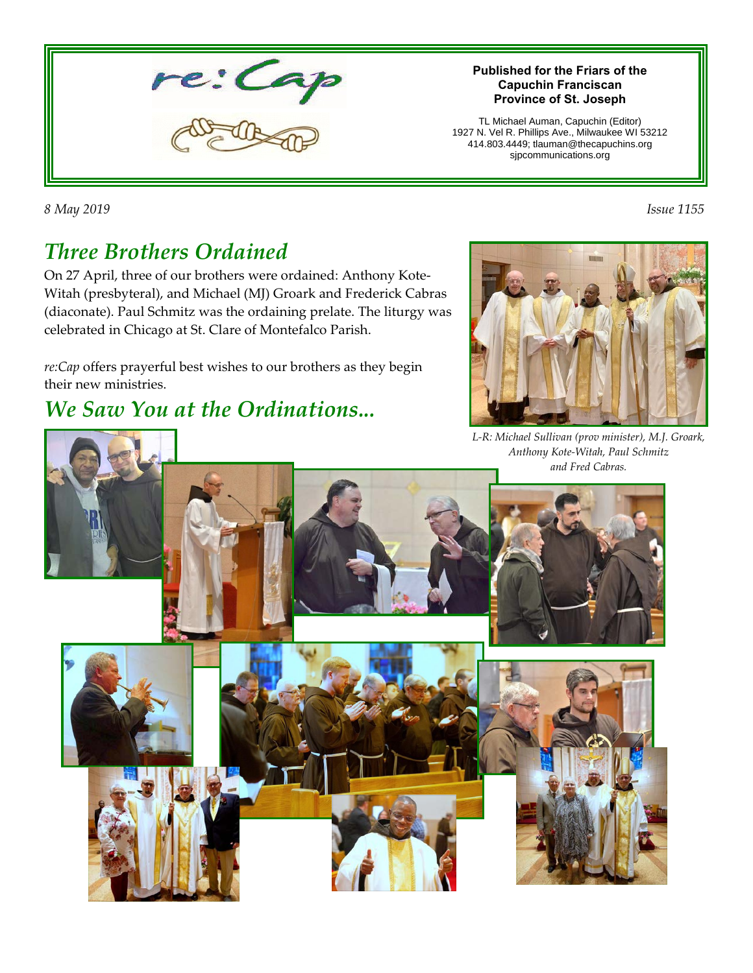

#### **Published for the Friars of the Capuchin Franciscan Province of St. Joseph**

TL Michael Auman, Capuchin (Editor) 1927 N. Vel R. Phillips Ave., Milwaukee WI 53212 414.803.4449; tlauman@thecapuchins.org sjpcommunications.org

*8 May 2019 Issue 1155* 

## *Three Brothers Ordained*

On 27 April, three of our brothers were ordained: Anthony Kote-Witah (presbyteral), and Michael (MJ) Groark and Frederick Cabras (diaconate). Paul Schmitz was the ordaining prelate. The liturgy was celebrated in Chicago at St. Clare of Montefalco Parish.

*re:Cap* offers prayerful best wishes to our brothers as they begin their new ministries.

### *We Saw You at the Ordinations...*



*L-R: Michael Sullivan (prov minister), M.J. Groark, Anthony Kote-Witah, Paul Schmitz and Fred Cabras.*

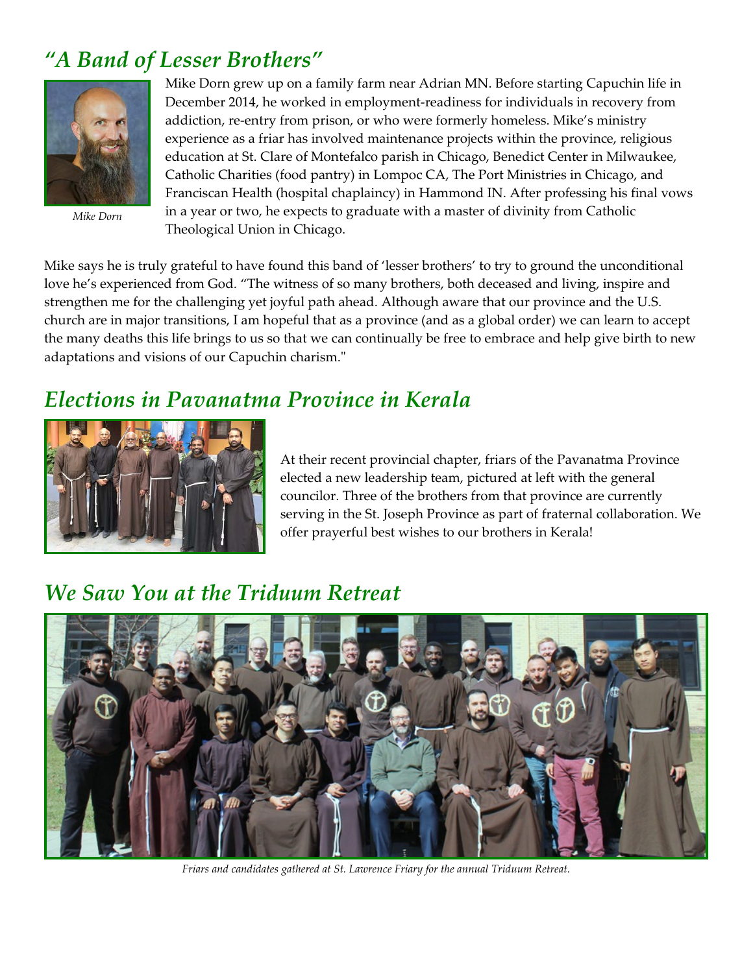### *"A Band of Lesser Brothers"*



*Mike Dorn*

Mike Dorn grew up on a family farm near Adrian MN. Before starting Capuchin life in December 2014, he worked in employment-readiness for individuals in recovery from addiction, re-entry from prison, or who were formerly homeless. Mike's ministry experience as a friar has involved maintenance projects within the province, religious education at St. Clare of Montefalco parish in Chicago, Benedict Center in Milwaukee, Catholic Charities (food pantry) in Lompoc CA, The Port Ministries in Chicago, and Franciscan Health (hospital chaplaincy) in Hammond IN. After professing his final vows in a year or two, he expects to graduate with a master of divinity from Catholic Theological Union in Chicago.

Mike says he is truly grateful to have found this band of 'lesser brothers' to try to ground the unconditional love he's experienced from God. "The witness of so many brothers, both deceased and living, inspire and strengthen me for the challenging yet joyful path ahead. Although aware that our province and the U.S. church are in major transitions, I am hopeful that as a province (and as a global order) we can learn to accept the many deaths this life brings to us so that we can continually be free to embrace and help give birth to new adaptations and visions of our Capuchin charism."

#### *Elections in Pavanatma Province in Kerala*



At their recent provincial chapter, friars of the Pavanatma Province elected a new leadership team, pictured at left with the general councilor. Three of the brothers from that province are currently serving in the St. Joseph Province as part of fraternal collaboration. We offer prayerful best wishes to our brothers in Kerala!

## *We Saw You at the Triduum Retreat*



*Friars and candidates gathered at St. Lawrence Friary for the annual Triduum Retreat.*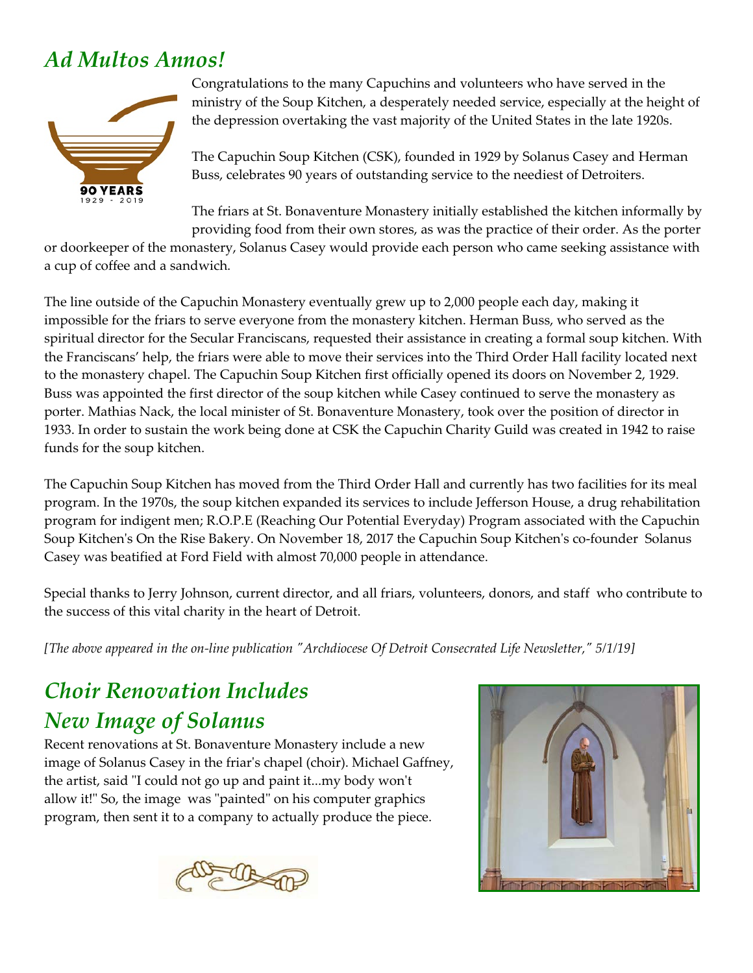## *Ad Multos Annos!*



Congratulations to the many Capuchins and volunteers who have served in the ministry of the Soup Kitchen, a desperately needed service, especially at the height of the depression overtaking the vast majority of the United States in the late 1920s.

The Capuchin Soup Kitchen (CSK), founded in 1929 by Solanus Casey and Herman Buss, celebrates 90 years of outstanding service to the neediest of Detroiters.

The friars at St. Bonaventure Monastery initially established the kitchen informally by providing food from their own stores, as was the practice of their order. As the porter

or doorkeeper of the monastery, Solanus Casey would provide each person who came seeking assistance with a cup of coffee and a sandwich.

The line outside of the Capuchin Monastery eventually grew up to 2,000 people each day, making it impossible for the friars to serve everyone from the monastery kitchen. Herman Buss, who served as the spiritual director for the Secular Franciscans, requested their assistance in creating a formal soup kitchen. With the Franciscans' help, the friars were able to move their services into the Third Order Hall facility located next to the monastery chapel. The Capuchin Soup Kitchen first officially opened its doors on November 2, 1929. Buss was appointed the first director of the soup kitchen while Casey continued to serve the monastery as porter. Mathias Nack, the local minister of St. Bonaventure Monastery, took over the position of director in 1933. In order to sustain the work being done at CSK the Capuchin Charity Guild was created in 1942 to raise funds for the soup kitchen.

The Capuchin Soup Kitchen has moved from the Third Order Hall and currently has two facilities for its meal program. In the 1970s, the soup kitchen expanded its services to include Jefferson House, a drug rehabilitation program for indigent men; R.O.P.E (Reaching Our Potential Everyday) Program associated with the Capuchin Soup Kitchen's On the Rise Bakery. On November 18, 2017 the Capuchin Soup Kitchen's co-founder Solanus Casey was beatified at Ford Field with almost 70,000 people in attendance.

Special thanks to Jerry Johnson, current director, and all friars, volunteers, donors, and staff who contribute to the success of this vital charity in the heart of Detroit.

*[The above appeared in the on-line publication "Archdiocese Of Detroit Consecrated Life Newsletter," 5/1/19]*

# *Choir Renovation Includes New Image of Solanus*

Recent renovations at St. Bonaventure Monastery include a new image of Solanus Casey in the friar's chapel (choir). Michael Gaffney, the artist, said "I could not go up and paint it...my body won't allow it!" So, the image was "painted" on his computer graphics program, then sent it to a company to actually produce the piece.